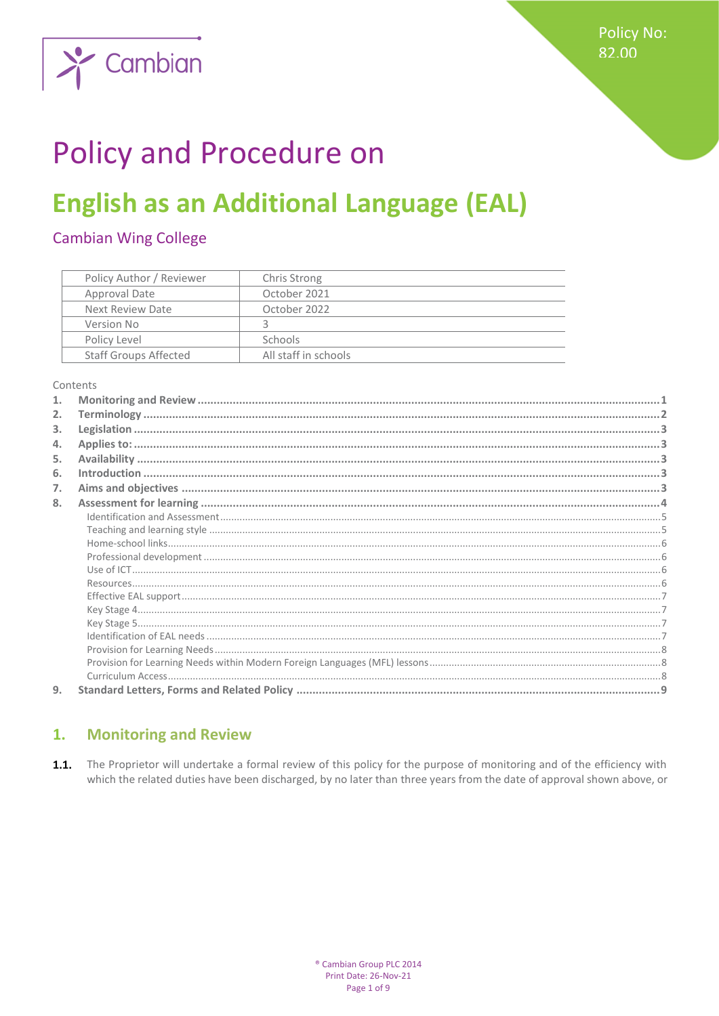

# **Policy and Procedure on**

## **English as an Additional Language (EAL)**

## **Cambian Wing College**

| Policy Author / Reviewer     | Chris Strong         |
|------------------------------|----------------------|
| Approval Date                | October 2021         |
| Next Review Date             | October 2022         |
| Version No                   |                      |
| Policy Level                 | <b>Schools</b>       |
| <b>Staff Groups Affected</b> | All staff in schools |

Contents

| 2. |  |
|----|--|
| 3. |  |
| 4. |  |
| 5. |  |
| 6. |  |
| 7. |  |
| 8. |  |
|    |  |
|    |  |
|    |  |
|    |  |
|    |  |
|    |  |
|    |  |
|    |  |
|    |  |
|    |  |
|    |  |
|    |  |
|    |  |
| 9. |  |

#### <span id="page-0-0"></span>**Monitoring and Review**  $\mathbf{1}$ .

 $1.1.$ The Proprietor will undertake a formal review of this policy for the purpose of monitoring and of the efficiency with which the related duties have been discharged, by no later than three years from the date of approval shown above, or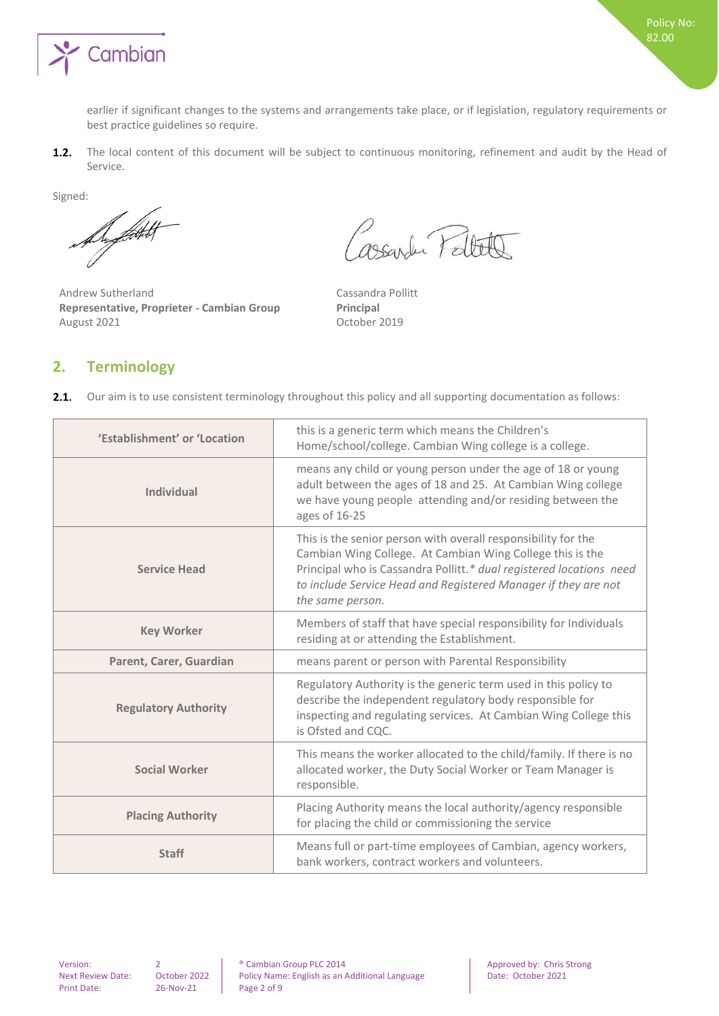

earlier if significant changes to the systems and arrangements take place, or if legislation, regulatory requirements or best practice guidelines so require.

The local content of this document will be subject to continuous monitoring, refinement and audit by the Head of  $1.2.$ Service.

Signed:

De fatt

Andrew Sutherland Cassandra Pollitt **Representative, Proprieter - Cambian Group Principal** August 2021 October 2019

Cassarder Pellete

## <span id="page-1-0"></span>**2. Terminology**

|  |  | 2.1. Our aim is to use consistent terminology throughout this policy and all supporting documentation as follows: |  |  |  |  |  |
|--|--|-------------------------------------------------------------------------------------------------------------------|--|--|--|--|--|
|--|--|-------------------------------------------------------------------------------------------------------------------|--|--|--|--|--|

| 'Establishment' or 'Location | this is a generic term which means the Children's<br>Home/school/college. Cambian Wing college is a college.                                                                                                                                                                            |
|------------------------------|-----------------------------------------------------------------------------------------------------------------------------------------------------------------------------------------------------------------------------------------------------------------------------------------|
| <b>Individual</b>            | means any child or young person under the age of 18 or young<br>adult between the ages of 18 and 25. At Cambian Wing college<br>we have young people attending and/or residing between the<br>ages of 16-25                                                                             |
| <b>Service Head</b>          | This is the senior person with overall responsibility for the<br>Cambian Wing College. At Cambian Wing College this is the<br>Principal who is Cassandra Pollitt.* dual registered locations need<br>to include Service Head and Registered Manager if they are not<br>the same person. |
| <b>Key Worker</b>            | Members of staff that have special responsibility for Individuals<br>residing at or attending the Establishment.                                                                                                                                                                        |
| Parent, Carer, Guardian      | means parent or person with Parental Responsibility                                                                                                                                                                                                                                     |
| <b>Regulatory Authority</b>  | Regulatory Authority is the generic term used in this policy to<br>describe the independent regulatory body responsible for<br>inspecting and regulating services. At Cambian Wing College this<br>is Ofsted and CQC.                                                                   |
| <b>Social Worker</b>         | This means the worker allocated to the child/family. If there is no<br>allocated worker, the Duty Social Worker or Team Manager is<br>responsible.                                                                                                                                      |
| <b>Placing Authority</b>     | Placing Authority means the local authority/agency responsible<br>for placing the child or commissioning the service                                                                                                                                                                    |
| <b>Staff</b>                 | Means full or part-time employees of Cambian, agency workers,<br>bank workers, contract workers and volunteers.                                                                                                                                                                         |

Print Date: 26-Nov-21 Page 2 of 9

Version: 2 ® Cambian Group PLC 2014 Approved by: Chris Strong Policy Name: English as an Additional Language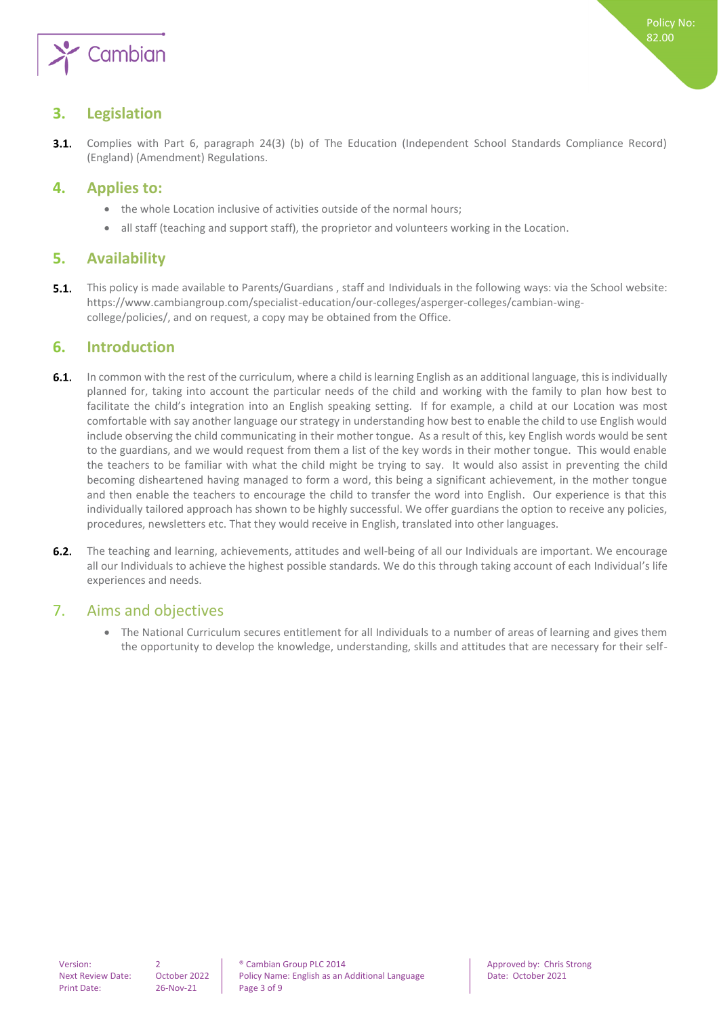

## <span id="page-2-0"></span>**3. Legislation**

Complies with Part 6, paragraph 24(3) (b) of The Education (Independent School Standards Compliance Record)  $3.1.$ (England) (Amendment) Regulations.

## <span id="page-2-1"></span>**4. Applies to:**

- the whole Location inclusive of activities outside of the normal hours;
- <span id="page-2-2"></span>all staff (teaching and support staff), the proprietor and volunteers working in the Location.

## **5. Availability**

<span id="page-2-3"></span> $5.1.$ This policy is made available to Parents/Guardians , staff and Individuals in the following ways: via the School website: https://www.cambiangroup.com/specialist-education/our-colleges/asperger-colleges/cambian-wingcollege/policies/, and on request, a copy may be obtained from the Office.

## **6. Introduction**

- $6.1.$ In common with the rest of the curriculum, where a child is learning English as an additional language, this is individually planned for, taking into account the particular needs of the child and working with the family to plan how best to facilitate the child's integration into an English speaking setting. If for example, a child at our Location was most comfortable with say another language our strategy in understanding how best to enable the child to use English would include observing the child communicating in their mother tongue. As a result of this, key English words would be sent to the guardians, and we would request from them a list of the key words in their mother tongue. This would enable the teachers to be familiar with what the child might be trying to say. It would also assist in preventing the child becoming disheartened having managed to form a word, this being a significant achievement, in the mother tongue and then enable the teachers to encourage the child to transfer the word into English. Our experience is that this individually tailored approach has shown to be highly successful. We offer guardians the option to receive any policies, procedures, newsletters etc. That they would receive in English, translated into other languages.
- $6.2.$ The teaching and learning, achievements, attitudes and well-being of all our Individuals are important. We encourage all our Individuals to achieve the highest possible standards. We do this through taking account of each Individual's life experiences and needs.

## <span id="page-2-4"></span>7. Aims and objectives

• The National Curriculum secures entitlement for all Individuals to a number of areas of learning and gives them the opportunity to develop the knowledge, understanding, skills and attitudes that are necessary for their self-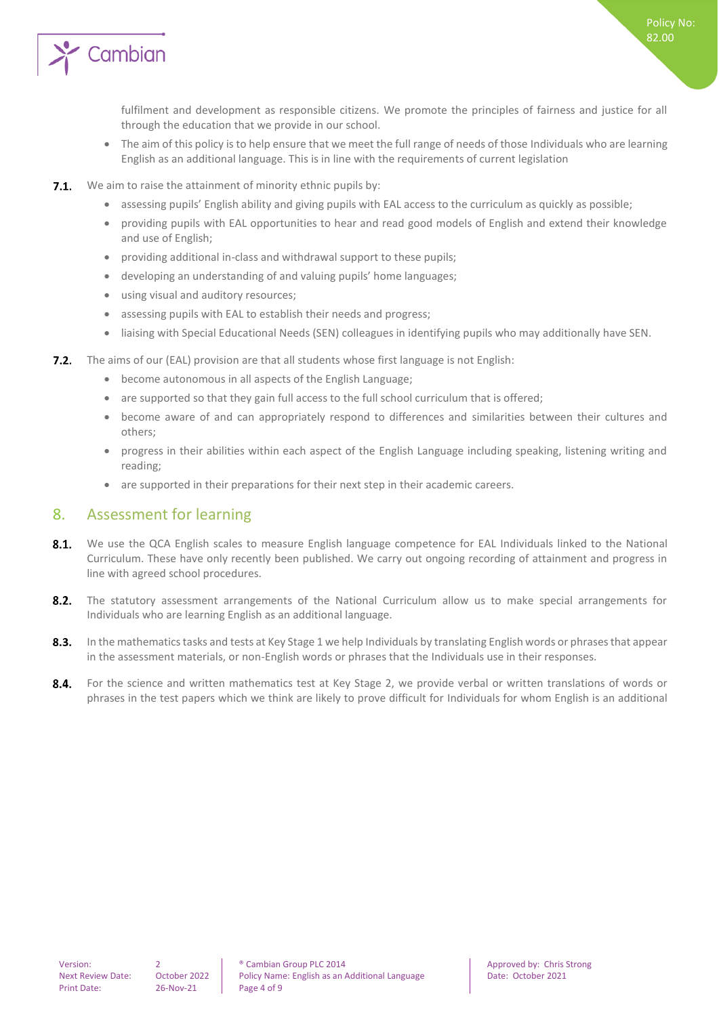

fulfilment and development as responsible citizens. We promote the principles of fairness and justice for all through the education that we provide in our school.

- The aim of this policy is to help ensure that we meet the full range of needs of those Individuals who are learning English as an additional language. This is in line with the requirements of current legislation
- **7.1.** We aim to raise the attainment of minority ethnic pupils by:
	- assessing pupils' English ability and giving pupils with EAL access to the curriculum as quickly as possible;
	- providing pupils with EAL opportunities to hear and read good models of English and extend their knowledge and use of English;
	- providing additional in-class and withdrawal support to these pupils;
	- developing an understanding of and valuing pupils' home languages;
	- using visual and auditory resources;
	- assessing pupils with EAL to establish their needs and progress;
	- liaising with Special Educational Needs (SEN) colleagues in identifying pupils who may additionally have SEN.
- **7.2.** The aims of our (EAL) provision are that all students whose first language is not English:
	- become autonomous in all aspects of the English Language;
	- are supported so that they gain full access to the full school curriculum that is offered;
	- become aware of and can appropriately respond to differences and similarities between their cultures and others;
	- progress in their abilities within each aspect of the English Language including speaking, listening writing and reading;
	- are supported in their preparations for their next step in their academic careers.

### <span id="page-3-0"></span>8. Assessment for learning

- $8.1.$ We use the QCA English scales to measure English language competence for EAL Individuals linked to the National Curriculum. These have only recently been published. We carry out ongoing recording of attainment and progress in line with agreed school procedures.
- $8.2.$ The statutory assessment arrangements of the National Curriculum allow us to make special arrangements for Individuals who are learning English as an additional language.
- $8.3.$ In the mathematics tasks and tests at Key Stage 1 we help Individuals by translating English words or phrases that appear in the assessment materials, or non-English words or phrases that the Individuals use in their responses.
- $8.4.$ For the science and written mathematics test at Key Stage 2, we provide verbal or written translations of words or phrases in the test papers which we think are likely to prove difficult for Individuals for whom English is an additional

Policy No: 82.00

Version: 2 **2 8** Cambian Group PLC 2014 **Approved by: Chris Strong Approved by: Chris Strong** Next Review Date: October 2022 | Policy Name: English as an Additional Language | Date: October 2021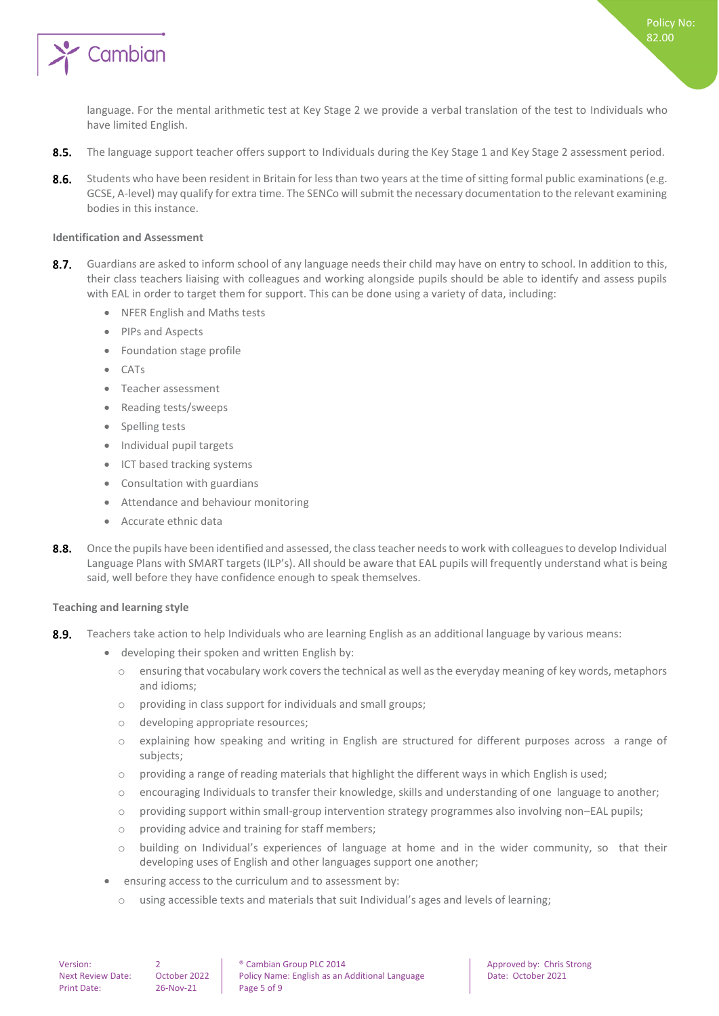

language. For the mental arithmetic test at Key Stage 2 we provide a verbal translation of the test to Individuals who have limited English.

- $8.5.$ The language support teacher offers support to Individuals during the Key Stage 1 and Key Stage 2 assessment period.
- 8.6. Students who have been resident in Britain for less than two years at the time of sitting formal public examinations (e.g. GCSE, A-level) may qualify for extra time. The SENCo will submit the necessary documentation to the relevant examining bodies in this instance.

#### <span id="page-4-0"></span>**Identification and Assessment**

- $8.7.$ Guardians are asked to inform school of any language needs their child may have on entry to school. In addition to this, their class teachers liaising with colleagues and working alongside pupils should be able to identify and assess pupils with EAL in order to target them for support. This can be done using a variety of data, including:
	- NFER English and Maths tests
	- PIPs and Aspects
	- Foundation stage profile
	- CATs
	- Teacher assessment
	- Reading tests/sweeps
	- Spelling tests
	- Individual pupil targets
	- ICT based tracking systems
	- Consultation with guardians
	- Attendance and behaviour monitoring
	- Accurate ethnic data
- $8.8.$ Once the pupils have been identified and assessed, the class teacher needs to work with colleagues to develop Individual Language Plans with SMART targets (ILP's). All should be aware that EAL pupils will frequently understand what is being said, well before they have confidence enough to speak themselves.

#### <span id="page-4-1"></span>**Teaching and learning style**

- $8.9.$ Teachers take action to help Individuals who are learning English as an additional language by various means:
	- developing their spoken and written English by:
		- o ensuring that vocabulary work covers the technical as well as the everyday meaning of key words, metaphors and idioms;
		- o providing in class support for individuals and small groups;
		- o developing appropriate resources;
		- o explaining how speaking and writing in English are structured for different purposes across a range of subjects;
		- $\circ$  providing a range of reading materials that highlight the different ways in which English is used;
		- $\circ$  encouraging Individuals to transfer their knowledge, skills and understanding of one language to another;
		- o providing support within small-group intervention strategy programmes also involving non–EAL pupils;
		- o providing advice and training for staff members;
		- o building on Individual's experiences of language at home and in the wider community, so that their developing uses of English and other languages support one another;
	- ensuring access to the curriculum and to assessment by:
		- o using accessible texts and materials that suit Individual's ages and levels of learning;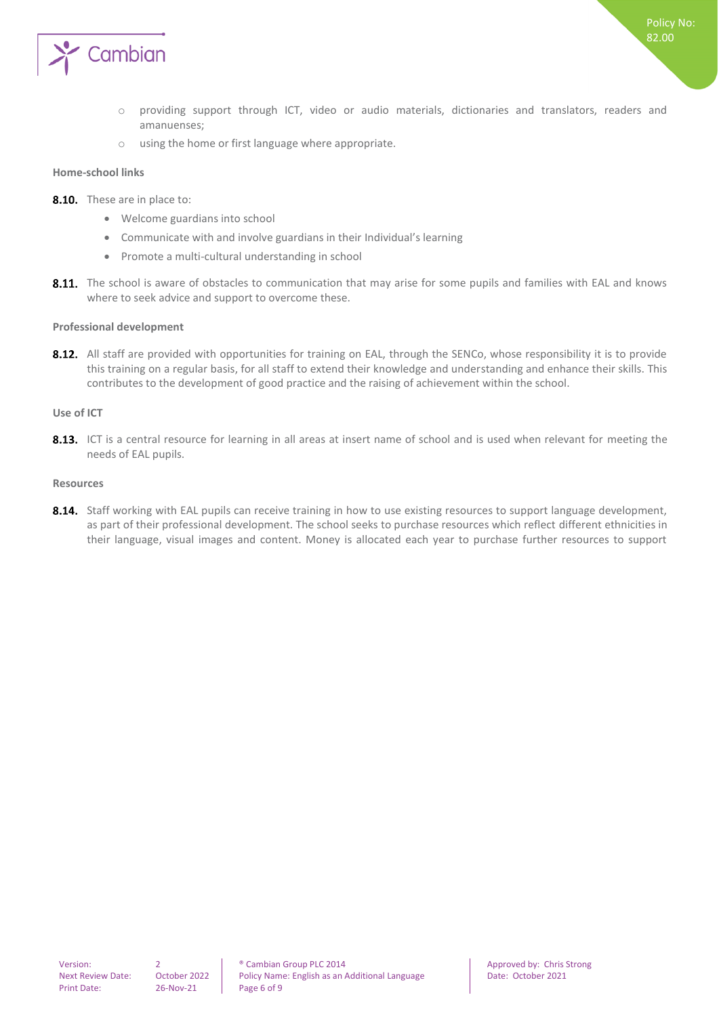

- o providing support through ICT, video or audio materials, dictionaries and translators, readers and amanuenses;
- o using the home or first language where appropriate.

#### <span id="page-5-0"></span>**Home-school links**

- 8.10. These are in place to:
	- Welcome guardians into school
	- Communicate with and involve guardians in their Individual's learning
	- Promote a multi-cultural understanding in school
- 8.11. The school is aware of obstacles to communication that may arise for some pupils and families with EAL and knows where to seek advice and support to overcome these.

#### <span id="page-5-1"></span>**Professional development**

8.12. All staff are provided with opportunities for training on EAL, through the SENCo, whose responsibility it is to provide this training on a regular basis, for all staff to extend their knowledge and understanding and enhance their skills. This contributes to the development of good practice and the raising of achievement within the school.

#### <span id="page-5-2"></span>**Use of ICT**

8.13. ICT is a central resource for learning in all areas at insert name of school and is used when relevant for meeting the needs of EAL pupils.

#### <span id="page-5-3"></span>**Resources**

8.14. Staff working with EAL pupils can receive training in how to use existing resources to support language development, as part of their professional development. The school seeks to purchase resources which reflect different ethnicities in their language, visual images and content. Money is allocated each year to purchase further resources to support

Version: 2 and 2 **Proved by:** Cambian Group PLC 2014 **Approved by:** Chris Strong Next Review Date: October 2022 | Policy Name: English as an Additional Language Date: October 2021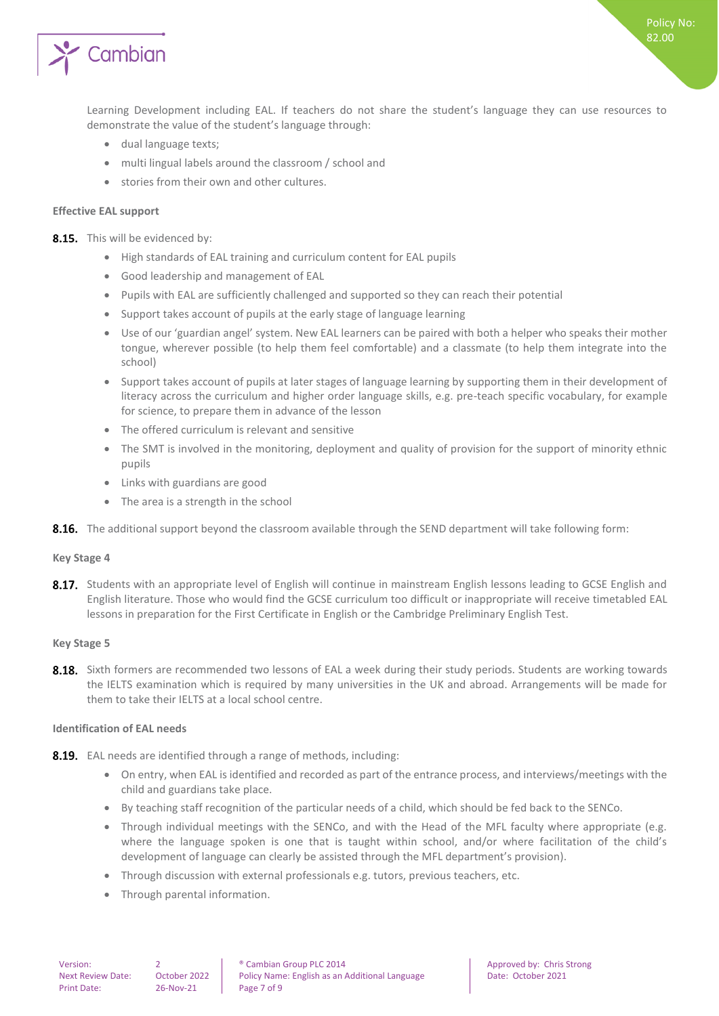

Learning Development including EAL. If teachers do not share the student's language they can use resources to demonstrate the value of the student's language through:

- dual language texts;
- multi lingual labels around the classroom / school and
- stories from their own and other cultures.

#### <span id="page-6-0"></span>**Effective EAL support**

8.15. This will be evidenced by:

- High standards of EAL training and curriculum content for EAL pupils
- Good leadership and management of EAL
- Pupils with EAL are sufficiently challenged and supported so they can reach their potential
- Support takes account of pupils at the early stage of language learning
- Use of our 'guardian angel' system. New EAL learners can be paired with both a helper who speaks their mother tongue, wherever possible (to help them feel comfortable) and a classmate (to help them integrate into the school)
- Support takes account of pupils at later stages of language learning by supporting them in their development of literacy across the curriculum and higher order language skills, e.g. pre-teach specific vocabulary, for example for science, to prepare them in advance of the lesson
- The offered curriculum is relevant and sensitive
- The SMT is involved in the monitoring, deployment and quality of provision for the support of minority ethnic pupils
- Links with guardians are good
- The area is a strength in the school
- <span id="page-6-1"></span>**8.16.** The additional support beyond the classroom available through the SEND department will take following form:

#### **Key Stage 4**

8.17. Students with an appropriate level of English will continue in mainstream English lessons leading to GCSE English and English literature. Those who would find the GCSE curriculum too difficult or inappropriate will receive timetabled EAL lessons in preparation for the First Certificate in English or the Cambridge Preliminary English Test.

#### <span id="page-6-2"></span>**Key Stage 5**

8.18. Sixth formers are recommended two lessons of EAL a week during their study periods. Students are working towards the IELTS examination which is required by many universities in the UK and abroad. Arrangements will be made for them to take their IELTS at a local school centre.

#### <span id="page-6-3"></span>**Identification of EAL needs**

- 8.19. EAL needs are identified through a range of methods, including:
	- On entry, when EAL is identified and recorded as part of the entrance process, and interviews/meetings with the child and guardians take place.
	- By teaching staff recognition of the particular needs of a child, which should be fed back to the SENCo.
	- Through individual meetings with the SENCo, and with the Head of the MFL faculty where appropriate (e.g. where the language spoken is one that is taught within school, and/or where facilitation of the child's development of language can clearly be assisted through the MFL department's provision).
	- Through discussion with external professionals e.g. tutors, previous teachers, etc.
	- Through parental information.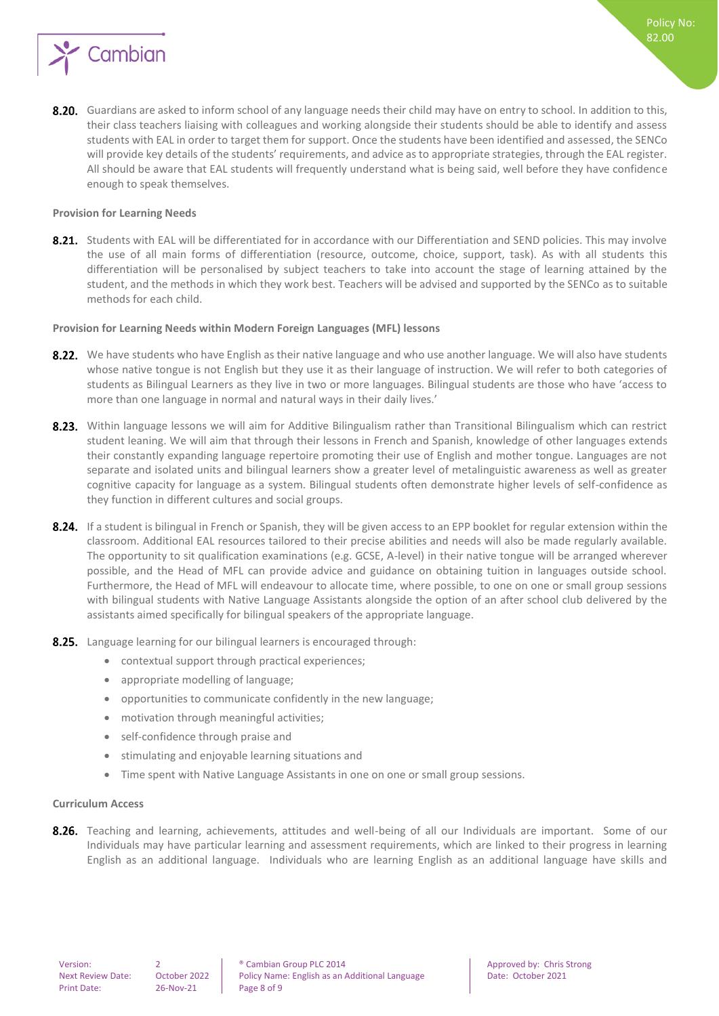

8.20. Guardians are asked to inform school of any language needs their child may have on entry to school. In addition to this, their class teachers liaising with colleagues and working alongside their students should be able to identify and assess students with EAL in order to target them for support. Once the students have been identified and assessed, the SENCo will provide key details of the students' requirements, and advice as to appropriate strategies, through the EAL register. All should be aware that EAL students will frequently understand what is being said, well before they have confidence enough to speak themselves.

#### <span id="page-7-0"></span>**Provision for Learning Needs**

8.21. Students with EAL will be differentiated for in accordance with our Differentiation and SEND policies. This may involve the use of all main forms of differentiation (resource, outcome, choice, support, task). As with all students this differentiation will be personalised by subject teachers to take into account the stage of learning attained by the student, and the methods in which they work best. Teachers will be advised and supported by the SENCo as to suitable methods for each child.

#### <span id="page-7-1"></span>**Provision for Learning Needs within Modern Foreign Languages (MFL) lessons**

- 8.22. We have students who have English as their native language and who use another language. We will also have students whose native tongue is not English but they use it as their language of instruction. We will refer to both categories of students as Bilingual Learners as they live in two or more languages. Bilingual students are those who have 'access to more than one language in normal and natural ways in their daily lives.'
- 8.23. Within language lessons we will aim for Additive Bilingualism rather than Transitional Bilingualism which can restrict student leaning. We will aim that through their lessons in French and Spanish, knowledge of other languages extends their constantly expanding language repertoire promoting their use of English and mother tongue. Languages are not separate and isolated units and bilingual learners show a greater level of metalinguistic awareness as well as greater cognitive capacity for language as a system. Bilingual students often demonstrate higher levels of self-confidence as they function in different cultures and social groups.
- 8.24. If a student is bilingual in French or Spanish, they will be given access to an EPP booklet for regular extension within the classroom. Additional EAL resources tailored to their precise abilities and needs will also be made regularly available. The opportunity to sit qualification examinations (e.g. GCSE, A-level) in their native tongue will be arranged wherever possible, and the Head of MFL can provide advice and guidance on obtaining tuition in languages outside school. Furthermore, the Head of MFL will endeavour to allocate time, where possible, to one on one or small group sessions with bilingual students with Native Language Assistants alongside the option of an after school club delivered by the assistants aimed specifically for bilingual speakers of the appropriate language.
- 8.25. Language learning for our bilingual learners is encouraged through:
	- contextual support through practical experiences;
	- appropriate modelling of language;
	- opportunities to communicate confidently in the new language;
	- motivation through meaningful activities;
	- self-confidence through praise and
	- stimulating and enjoyable learning situations and
	- Time spent with Native Language Assistants in one on one or small group sessions.

#### <span id="page-7-2"></span>**Curriculum Access**

8.26. Teaching and learning, achievements, attitudes and well-being of all our Individuals are important. Some of our Individuals may have particular learning and assessment requirements, which are linked to their progress in learning English as an additional language. Individuals who are learning English as an additional language have skills and